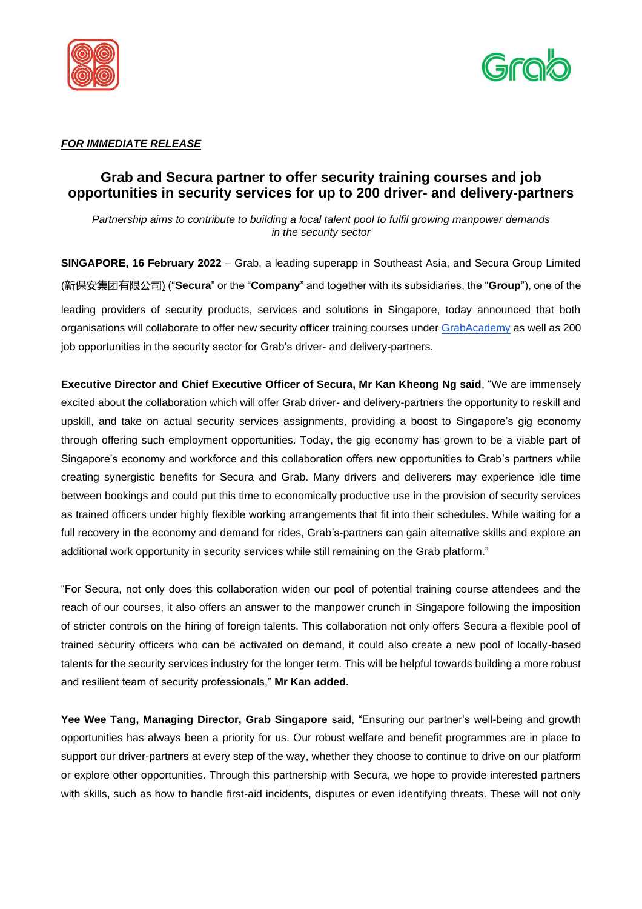



# *FOR IMMEDIATE RELEASE*

# **Grab and Secura partner to offer security training courses and job opportunities in security services for up to 200 driver- and delivery-partners**

*Partnership aims to contribute to building a local talent pool to fulfil growing manpower demands in the security sector*

**SINGAPORE, 16 February 2022** – Grab, a leading superapp in Southeast Asia, and Secura Group Limited (新保安集团有限公司) ("**Secura**" or the "**Company**" and together with its subsidiaries, the "**Group**"), one of the leading providers of security products, services and solutions in Singapore, today announced that both organisations will collaborate to offer new security officer training courses under [GrabAcademy](https://www.grab.com/sg/driver/academy/transport-grabacademy-career-support/) as well as 200 job opportunities in the security sector for Grab's driver- and delivery-partners.

**Executive Director and Chief Executive Officer of Secura, Mr Kan Kheong Ng said**, "We are immensely excited about the collaboration which will offer Grab driver- and delivery-partners the opportunity to reskill and upskill, and take on actual security services assignments, providing a boost to Singapore's gig economy through offering such employment opportunities. Today, the gig economy has grown to be a viable part of Singapore's economy and workforce and this collaboration offers new opportunities to Grab's partners while creating synergistic benefits for Secura and Grab. Many drivers and deliverers may experience idle time between bookings and could put this time to economically productive use in the provision of security services as trained officers under highly flexible working arrangements that fit into their schedules. While waiting for a full recovery in the economy and demand for rides, Grab's-partners can gain alternative skills and explore an additional work opportunity in security services while still remaining on the Grab platform."

"For Secura, not only does this collaboration widen our pool of potential training course attendees and the reach of our courses, it also offers an answer to the manpower crunch in Singapore following the imposition of stricter controls on the hiring of foreign talents. This collaboration not only offers Secura a flexible pool of trained security officers who can be activated on demand, it could also create a new pool of locally-based talents for the security services industry for the longer term. This will be helpful towards building a more robust and resilient team of security professionals," **Mr Kan added.**

**Yee Wee Tang, Managing Director, Grab Singapore** said, "Ensuring our partner's well-being and growth opportunities has always been a priority for us. Our robust welfare and benefit programmes are in place to support our driver-partners at every step of the way, whether they choose to continue to drive on our platform or explore other opportunities. Through this partnership with Secura, we hope to provide interested partners with skills, such as how to handle first-aid incidents, disputes or even identifying threats. These will not only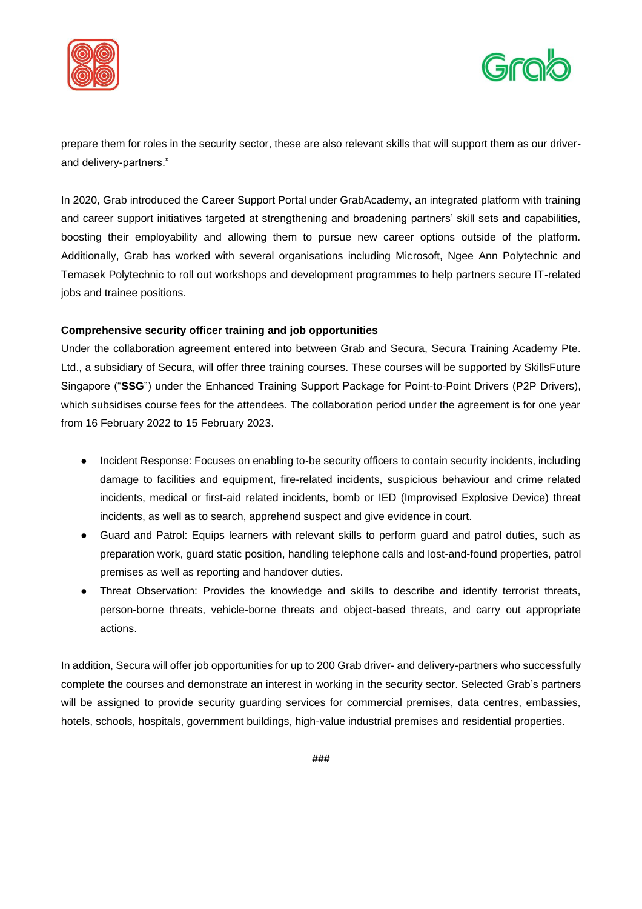



prepare them for roles in the security sector, these are also relevant skills that will support them as our driverand delivery-partners."

In 2020, Grab introduced the Career Support Portal under GrabAcademy, an integrated platform with training and career support initiatives targeted at strengthening and broadening partners' skill sets and capabilities, boosting their employability and allowing them to pursue new career options outside of the platform. Additionally, Grab has worked with several organisations including Microsoft, Ngee Ann Polytechnic and Temasek Polytechnic to roll out workshops and development programmes to help partners secure IT-related jobs and trainee positions.

# **Comprehensive security officer training and job opportunities**

Under the collaboration agreement entered into between Grab and Secura, Secura Training Academy Pte. Ltd., a subsidiary of Secura, will offer three training courses. These courses will be supported by SkillsFuture Singapore ("**SSG**") under the Enhanced Training Support Package for Point-to-Point Drivers (P2P Drivers), which subsidises course fees for the attendees. The collaboration period under the agreement is for one year from 16 February 2022 to 15 February 2023.

- Incident Response: Focuses on enabling to-be security officers to contain security incidents, including damage to facilities and equipment, fire-related incidents, suspicious behaviour and crime related incidents, medical or first-aid related incidents, bomb or IED (Improvised Explosive Device) threat incidents, as well as to search, apprehend suspect and give evidence in court.
- Guard and Patrol: Equips learners with relevant skills to perform guard and patrol duties, such as preparation work, guard static position, handling telephone calls and lost-and-found properties, patrol premises as well as reporting and handover duties.
- Threat Observation: Provides the knowledge and skills to describe and identify terrorist threats, person-borne threats, vehicle-borne threats and object-based threats, and carry out appropriate actions.

In addition, Secura will offer job opportunities for up to 200 Grab driver- and delivery-partners who successfully complete the courses and demonstrate an interest in working in the security sector. Selected Grab's partners will be assigned to provide security guarding services for commercial premises, data centres, embassies, hotels, schools, hospitals, government buildings, high-value industrial premises and residential properties.

**###**